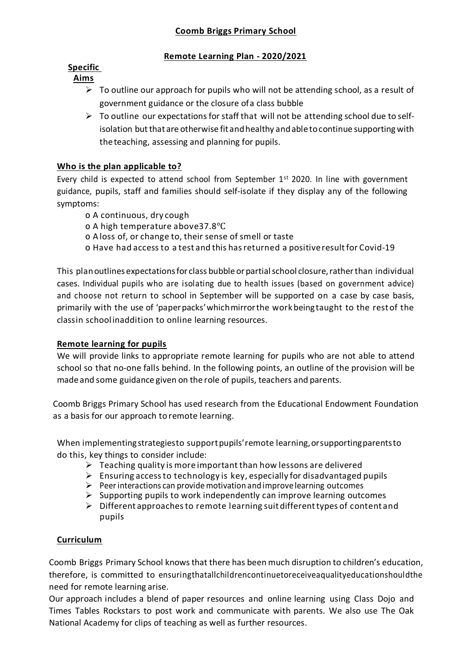### **Remote Learning Plan - 2020/2021**

# **Specific**

# **Aims**

- $\triangleright$  To outline our approach for pupils who will not be attending school, as a result of government guidance or the closure ofa class bubble
- $\triangleright$  To outline our expectations for staff that will not be attending school due to selfisolation but that are otherwise fit and healthy and able to continue supporting with theteaching, assessing and planning for pupils.

# **Who is the plan applicable to?**

Every child is expected to attend school from September  $1<sup>st</sup>$  2020. In line with government guidance, pupils, staff and families should self-isolate if they display any of the following symptoms:

- o A continuous, dry cough
- o A high temperature above37.8℃
- o A loss of, or change to, their sense of smell or taste
- o Have had accessto a test and this hasreturned a positiveresultfor Covid-19

This planoutlines expectationsfor class bubble or partialschool closure,ratherthan individual cases. Individual pupils who are isolating due to health issues (based on government advice) and choose not return to school in September will be supported on a case by case basis, primarily with the use of 'paperpacks'whichmirrorthe workbeingtaught to the restof the classin schoolinaddition to online learning resources.

### **Remote learning for pupils**

We will provide links to appropriate remote learning for pupils who are not able to attend school so that no-one falls behind. In the following points, an outline of the provision will be madeand some guidance given on the role of pupils, teachers and parents.

Coomb Briggs Primary School has used research from the Educational Endowment Foundation as a basis for our approach to remote learning.

When implementing strategiesto support pupils' remote learning, or supporting parents to do this, key things to consider include:

- $\triangleright$  Teaching quality is more important than how lessons are delivered
- $\triangleright$  Ensuring access to technology is key, especially for disadvantaged pupils
- $\triangleright$  Peer interactions can provide motivation and improve learning outcomes
- $\triangleright$  Supporting pupils to work independently can improve learning outcomes
- $\triangleright$  Different approaches to remote learning suit different types of content and pupils

### **Curriculum**

Coomb Briggs Primary School knowsthat there has been much disruption to children's education, therefore, is committed to ensuringthatallchildrencontinuetoreceiveaqualityeducationshouldthe need for remote learning arise.

Our approach includes a blend of paper resources and online learning using Class Dojo and Times Tables Rockstars to post work and communicate with parents. We also use The Oak National Academy for clips of teaching as well as further resources.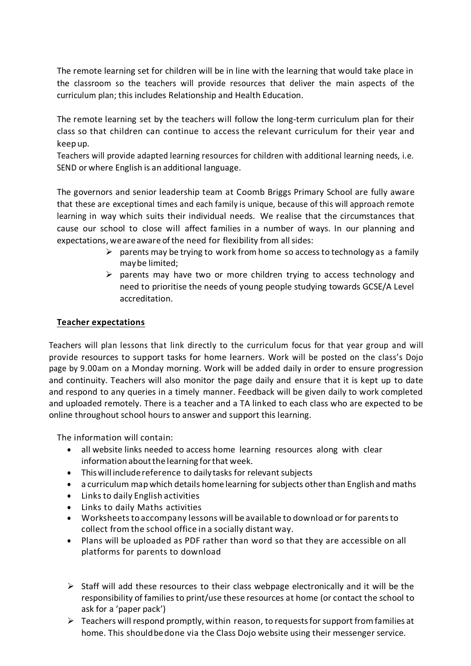The remote learning set for children will be in line with the learning that would take place in the classroom so the teachers will provide resources that deliver the main aspects of the curriculum plan; this includes Relationship and Health Education.

The remote learning set by the teachers will follow the long-term curriculum plan for their class so that children can continue to access the relevant curriculum for their year and keep up.

Teachers will provide adapted learning resources for children with additional learning needs, i.e. SEND or where English is an additional language.

The governors and senior leadership team at Coomb Briggs Primary School are fully aware that these are exceptional times and each family is unique, because of this will approach remote learning in way which suits their individual needs. We realise that the circumstances that cause our school to close will affect families in a number of ways. In our planning and expectations, we are aware of the need for flexibility from all sides:

- $\triangleright$  parents may be trying to work from home so access to technology as a family maybe limited;
- $\triangleright$  parents may have two or more children trying to access technology and need to prioritise the needs of young people studying towards GCSE/A Level accreditation.

### **Teacher expectations**

Teachers will plan lessons that link directly to the curriculum focus for that year group and will provide resources to support tasks for home learners. Work will be posted on the class's Dojo page by 9.00am on a Monday morning. Work will be added daily in order to ensure progression and continuity. Teachers will also monitor the page daily and ensure that it is kept up to date and respond to any queries in a timely manner. Feedback will be given daily to work completed and uploaded remotely. There is a teacher and a TA linked to each class who are expected to be online throughout school hours to answer and support this learning.

The information will contain:

- all website links needed to access home learning resources along with clear information aboutthe learning forthat week.
- This will include reference to daily tasks for relevant subjects
- a curriculum map which details home learning for subjects otherthan English and maths
- Linksto daily English activities
- Links to daily Maths activities
- Worksheets to accompany lessons will be available to download or for parentsto collect from the school office in a socially distant way.
- Plans will be uploaded as PDF rather than word so that they are accessible on all platforms for parents to download
- ➢ Staff will add these resources to their class webpage electronically and it will be the responsibility of familiesto print/use these resources at home (or contact the school to ask for a 'paper pack')
- $\triangleright$  Teachers will respond promptly, within reason, to requests for support from families at home. This shouldbedone via the Class Dojo website using their messenger service.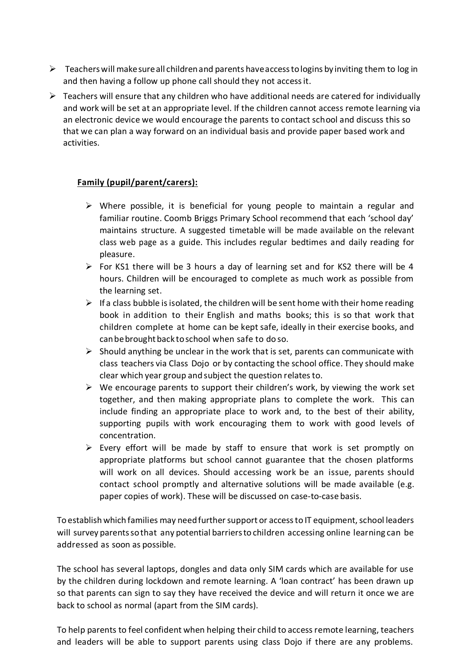- $\triangleright$  Teachers will make sure all children and parents have access to logins by inviting them to log in and then having a follow up phone call should they not accessit.
- $\triangleright$  Teachers will ensure that any children who have additional needs are catered for individually and work will be set at an appropriate level. If the children cannot access remote learning via an electronic device we would encourage the parents to contact school and discuss this so that we can plan a way forward on an individual basis and provide paper based work and activities.

### **Family (pupil/parent/carers):**

- $\triangleright$  Where possible, it is beneficial for young people to maintain a regular and familiar routine. Coomb Briggs Primary School recommend that each 'school day' maintains structure. A suggested timetable will be made available on the relevant class web page as a guide. This includes regular bedtimes and daily reading for pleasure.
- ➢ For KS1 there will be 3 hours a day of learning set and for KS2 there will be 4 hours. Children will be encouraged to complete as much work as possible from the learning set.
- $\triangleright$  If a class bubble is isolated, the children will be sent home with their home reading book in addition to their English and maths books; this is so that work that children complete at home can be kept safe, ideally in their exercise books, and can be brought back to school when safe to do so.
- $\triangleright$  Should anything be unclear in the work that is set, parents can communicate with class teachers via Class Dojo or by contacting the school office. They should make clear which year group and subject the question relates to.
- $\triangleright$  We encourage parents to support their children's work, by viewing the work set together, and then making appropriate plans to complete the work. This can include finding an appropriate place to work and, to the best of their ability, supporting pupils with work encouraging them to work with good levels of concentration.
- $\triangleright$  Every effort will be made by staff to ensure that work is set promptly on appropriate platforms but school cannot guarantee that the chosen platforms will work on all devices. Should accessing work be an issue, parents should contact school promptly and alternative solutions will be made available (e.g. paper copies of work). These will be discussed on case-to-case basis.

To establish which families may need further support or access to IT equipment, school leaders will survey parentssothat any potential barriersto children accessing online learning can be addressed as soon as possible.

The school has several laptops, dongles and data only SIM cards which are available for use by the children during lockdown and remote learning. A 'loan contract' has been drawn up so that parents can sign to say they have received the device and will return it once we are back to school as normal (apart from the SIM cards).

To help parents to feel confident when helping their child to accessremote learning, teachers and leaders will be able to support parents using class Dojo if there are any problems.